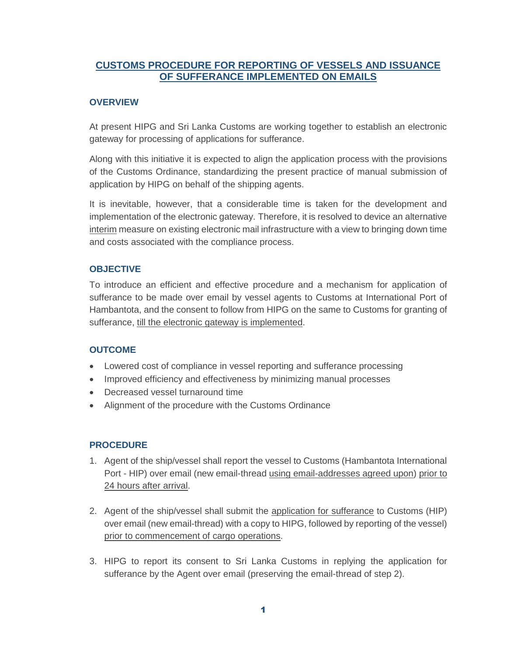# **CUSTOMS PROCEDURE FOR REPORTING OF VESSELS AND ISSUANCE OF SUFFERANCE IMPLEMENTED ON EMAILS**

# **OVERVIEW**

At present HIPG and Sri Lanka Customs are working together to establish an electronic gateway for processing of applications for sufferance.

Along with this initiative it is expected to align the application process with the provisions of the Customs Ordinance, standardizing the present practice of manual submission of application by HIPG on behalf of the shipping agents.

It is inevitable, however, that a considerable time is taken for the development and implementation of the electronic gateway. Therefore, it is resolved to device an alternative interim measure on existing electronic mail infrastructure with a view to bringing down time and costs associated with the compliance process.

# **OBJECTIVE**

To introduce an efficient and effective procedure and a mechanism for application of sufferance to be made over email by vessel agents to Customs at International Port of Hambantota, and the consent to follow from HIPG on the same to Customs for granting of sufferance, till the electronic gateway is implemented.

# **OUTCOME**

- Lowered cost of compliance in vessel reporting and sufferance processing
- Improved efficiency and effectiveness by minimizing manual processes
- Decreased vessel turnaround time
- Alignment of the procedure with the Customs Ordinance

## **PROCEDURE**

- 1. Agent of the ship/vessel shall report the vessel to Customs (Hambantota International Port - HIP) over email (new email-thread using email-addresses agreed upon) prior to 24 hours after arrival.
- 2. Agent of the ship/vessel shall submit the application for sufferance to Customs (HIP) over email (new email-thread) with a copy to HIPG, followed by reporting of the vessel) prior to commencement of cargo operations.
- 3. HIPG to report its consent to Sri Lanka Customs in replying the application for sufferance by the Agent over email (preserving the email-thread of step 2).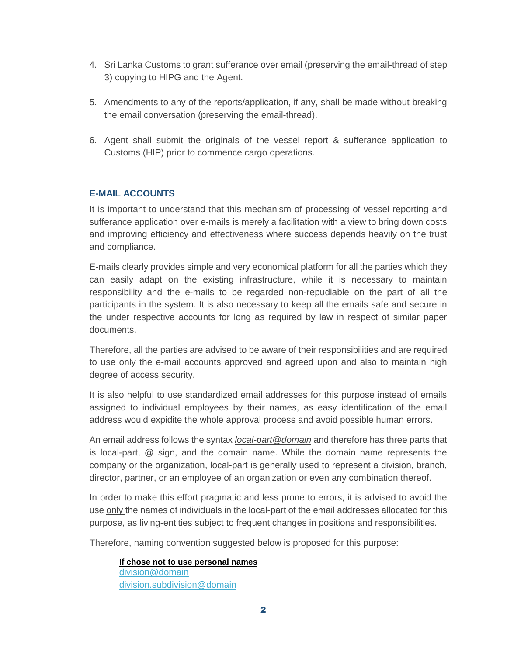- 4. Sri Lanka Customs to grant sufferance over email (preserving the email-thread of step 3) copying to HIPG and the Agent.
- 5. Amendments to any of the reports/application, if any, shall be made without breaking the email conversation (preserving the email-thread).
- 6. Agent shall submit the originals of the vessel report & sufferance application to Customs (HIP) prior to commence cargo operations.

# **E-MAIL ACCOUNTS**

It is important to understand that this mechanism of processing of vessel reporting and sufferance application over e-mails is merely a facilitation with a view to bring down costs and improving efficiency and effectiveness where success depends heavily on the trust and compliance.

E-mails clearly provides simple and very economical platform for all the parties which they can easily adapt on the existing infrastructure, while it is necessary to maintain responsibility and the e-mails to be regarded non-repudiable on the part of all the participants in the system. It is also necessary to keep all the emails safe and secure in the under respective accounts for long as required by law in respect of similar paper documents.

Therefore, all the parties are advised to be aware of their responsibilities and are required to use only the e-mail accounts approved and agreed upon and also to maintain high degree of access security.

It is also helpful to use standardized email addresses for this purpose instead of emails assigned to individual employees by their names, as easy identification of the email address would expidite the whole approval process and avoid possible human errors.

An email address follows the syntax *local-part@domain* and therefore has three parts that is local-part, @ sign, and the domain name. While the domain name represents the company or the organization, local-part is generally used to represent a division, branch, director, partner, or an employee of an organization or even any combination thereof.

In order to make this effort pragmatic and less prone to errors, it is advised to avoid the use only the names of individuals in the local-part of the email addresses allocated for this purpose, as living-entities subject to frequent changes in positions and responsibilities.

Therefore, naming convention suggested below is proposed for this purpose:

#### **If chose not to use personal names**  division@domain

[division.subdivision@domain](mailto:division.subdivision@domain)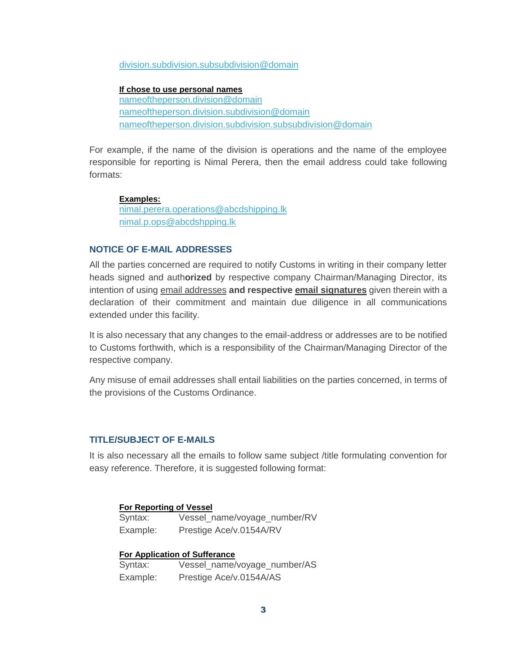[division.subdivision.subsubdivision@domain](mailto:division.subdivision.subsubdivision@domain)

### **If chose to use personal names**

nameoftheperson.division@domain [nameoftheperson.division.subdivision@domain](mailto:nameoftheperson.division.subdivision@domain) [nameoftheperson.division.subdivision.subsubdivision@domain](mailto:nameoftheperson.division.subdivision.subsubdivision@domain)

For example, if the name of the division is operations and the name of the employee responsible for reporting is Nimal Perera, then the email address could take following formats:

### **Examples:**

[nimal.perera.operations@abcdshipping.lk](mailto:nimal.perera.operations@abcdshipping.lk) [nimal.p.ops@abcdshpping.lk](mailto:nimal.p.ops@abcdshpping.lk)

## **NOTICE OF E-MAIL ADDRESSES**

All the parties concerned are required to notify Customs in writing in their company letter heads signed and auth**orized** by respective company Chairman/Managing Director, its intention of using email addresses **and respective email signatures** given therein with a declaration of their commitment and maintain due diligence in all communications extended under this facility.

It is also necessary that any changes to the email-address or addresses are to be notified to Customs forthwith, which is a responsibility of the Chairman/Managing Director of the respective company.

Any misuse of email addresses shall entail liabilities on the parties concerned, in terms of the provisions of the Customs Ordinance.

## **TITLE/SUBJECT OF E-MAILS**

It is also necessary all the emails to follow same subject /title formulating convention for easy reference. Therefore, it is suggested following format:

### **For Reporting of Vessel**

Syntax: Vessel\_name/voyage\_number/RV Example: Prestige Ace/v.0154A/RV

## **For Application of Sufferance**

| Syntax:  | Vessel_name/voyage_number/AS |
|----------|------------------------------|
| Example: | Prestige Ace/v.0154A/AS      |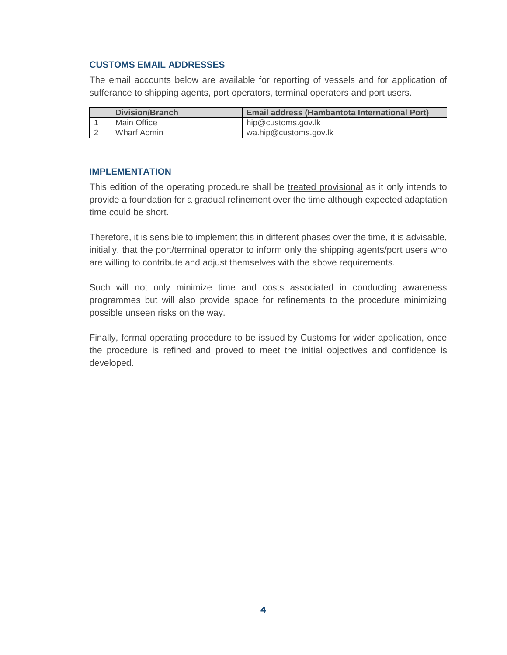## **CUSTOMS EMAIL ADDRESSES**

The email accounts below are available for reporting of vessels and for application of sufferance to shipping agents, port operators, terminal operators and port users.

| Division/Branch | <b>Email address (Hambantota International Port)</b> |
|-----------------|------------------------------------------------------|
| Main Office     | hip@customs.gov.lk                                   |
| Wharf Admin     | wa.hip@customs.gov.lk                                |

## **IMPLEMENTATION**

This edition of the operating procedure shall be treated provisional as it only intends to provide a foundation for a gradual refinement over the time although expected adaptation time could be short.

Therefore, it is sensible to implement this in different phases over the time, it is advisable, initially, that the port/terminal operator to inform only the shipping agents/port users who are willing to contribute and adjust themselves with the above requirements.

Such will not only minimize time and costs associated in conducting awareness programmes but will also provide space for refinements to the procedure minimizing possible unseen risks on the way.

Finally, formal operating procedure to be issued by Customs for wider application, once the procedure is refined and proved to meet the initial objectives and confidence is developed.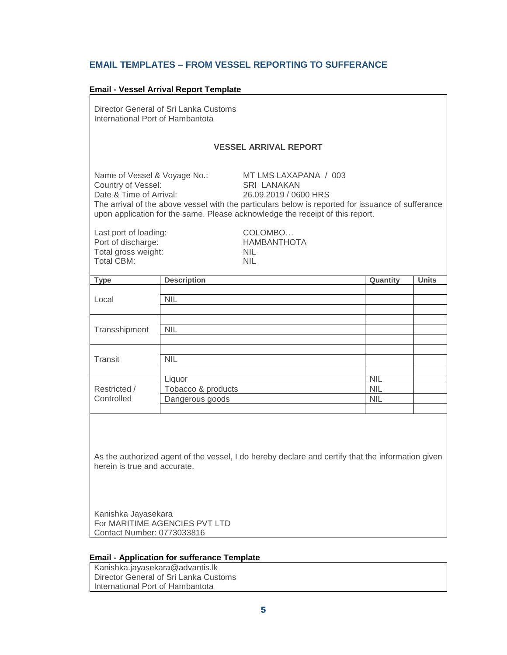## **EMAIL TEMPLATES – FROM VESSEL REPORTING TO SUFFERANCE**

### **Email - Vessel Arrival Report Template**

Director General of Sri Lanka Customs International Port of Hambantota

### **VESSEL ARRIVAL REPORT**

Country of Vessel: SRI LANAKAN Date & Time of Arrival: 26.09.2019 / 0600 HRS

Name of Vessel & Voyage No.: MT LMS LAXAPANA / 003

The arrival of the above vessel with the particulars below is reported for issuance of sufferance upon application for the same. Please acknowledge the receipt of this report.

Last port of loading:<br>
Port of discharge:<br>
Port of discharge:<br>
COLOMBO... Port of discharge: Total gross weight: NIL Total CBM:

| <b>Type</b>                | <b>Description</b> | Quantity   | <b>Units</b> |
|----------------------------|--------------------|------------|--------------|
|                            |                    |            |              |
| Local                      | <b>NIL</b>         |            |              |
|                            |                    |            |              |
|                            |                    |            |              |
| Transshipment              | <b>NIL</b>         |            |              |
|                            |                    |            |              |
| Transit                    |                    |            |              |
|                            | <b>NIL</b>         |            |              |
|                            |                    |            |              |
| Restricted /<br>Controlled | Liquor             | <b>NIL</b> |              |
|                            | Tobacco & products | <b>NIL</b> |              |
|                            | Dangerous goods    | <b>NIL</b> |              |
|                            |                    |            |              |

As the authorized agent of the vessel, I do hereby declare and certify that the information given herein is true and accurate.

Kanishka Jayasekara For MARITIME AGENCIES PVT LTD Contact Number: 0773033816

### **Email - Application for sufferance Template**

Kanishka.jayasekara@advantis.lk Director General of Sri Lanka Customs International Port of Hambantota